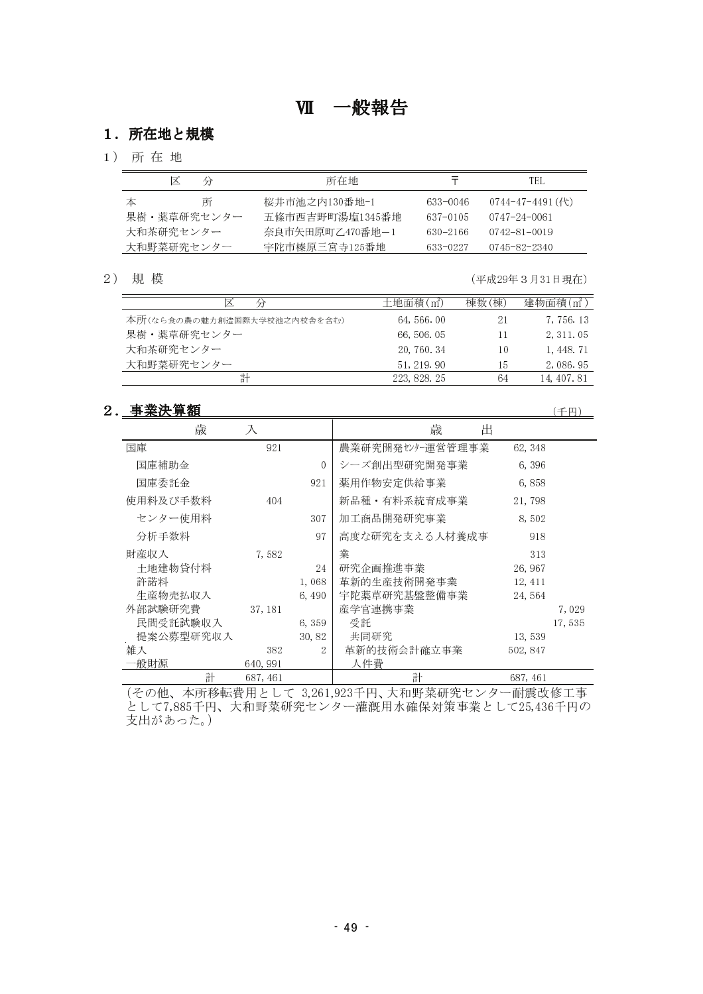## 1. 所在地と規模

1) 所在地

| ⋉<br>分      | 所在地             |              | TEL.                   |
|-------------|-----------------|--------------|------------------------|
| 本<br>所      | 桜井市池之内130番地-1   | 633-0046     | $0744 - 47 - 4491$ (代) |
| 果樹・薬草研究センター | 五條市西吉野町湯塩1345番地 | 637-0105     | 0747-24-0061           |
| 大和茶研究センター   | 奈良市矢田原町乙470番地-1 | $630 - 2166$ | 0742-81-0019           |
| 大和野菜研究センター  | 宇陀市榛原三宮寺125番地   | 633-0227     | 0745-82-2340           |

2) 規模

(平成29年3月31日現在)

| ∣×<br>分                     | 十地面積 $(m2)$  | 棟数(棟) | 建物面積(m <sup>2</sup> ) |
|-----------------------------|--------------|-------|-----------------------|
| 本所(なら食の農の魅力創造国際大学校池之内校舎を含む) | 64, 566, 00  | 21    | 7,756.13              |
| 果樹・薬草研究センター                 | 66, 506, 05  | 11    | 2, 311, 05            |
| 大和茶研究センター                   | 20, 760, 34  | 10    | 1, 448, 71            |
| 大和野菜研究センター                  | 51, 219, 90  | 15    | 2,086.95              |
| 計                           | 223, 828, 25 | 64    | 14, 407, 81           |

 $\overline{\phantom{0}}$ 

## 2. 事業決算額

(千円)

| 歳         | 入        |                | 歳<br>出           |          |
|-----------|----------|----------------|------------------|----------|
| 国庫        | 921      |                | 農業研究開発センター運営管理事業 | 62, 348  |
| 国庫補助金     |          | $\theta$       | シーズ創出型研究開発事業     | 6,396    |
| 国庫委託金     |          | 921            | 薬用作物安定供給事業       | 6,858    |
| 使用料及び手数料  | 404      |                | 新品種·有料系統育成事業     | 21,798   |
| センター使用料   |          | 307            | 加工商品開発研究事業       | 8,502    |
| 分析手数料     |          | 97             | 高度な研究を支える人材養成事   | 918      |
| 財産収入      | 7.582    |                | 業                | 313      |
| 土地建物貸付料   |          | 24             | 研究企画推進事業         | 26, 967  |
| 許諾料       |          | 1.068          | 革新的生産技術開発事業      | 12, 411  |
| 生産物売払収入   |          | 6,490          | 宇陀薬草研究基盤整備事業     | 24,564   |
| 外部試験研究費   | 37, 181  |                | 産学官連携事業          | 7,029    |
| 民間受託試験収入  |          | 6,359          | 受託               | 17,535   |
| 提案公募型研究収入 |          | 30,82          | 共同研究             | 13,539   |
| 雑入        | 382      | $\overline{2}$ | 革新的技術会計確立事業      | 502, 847 |
| 一般財源      | 640, 991 |                | 人件費              |          |
| 計         | 687, 461 |                | 計                | 687, 461 |

(その他、本所移転費用として 3,261,923千円、大和野菜研究センター耐震改修工事<br>として7,885千円、大和野菜研究センター灌漑用水確保対策事業として25,436千円の 支出があった。)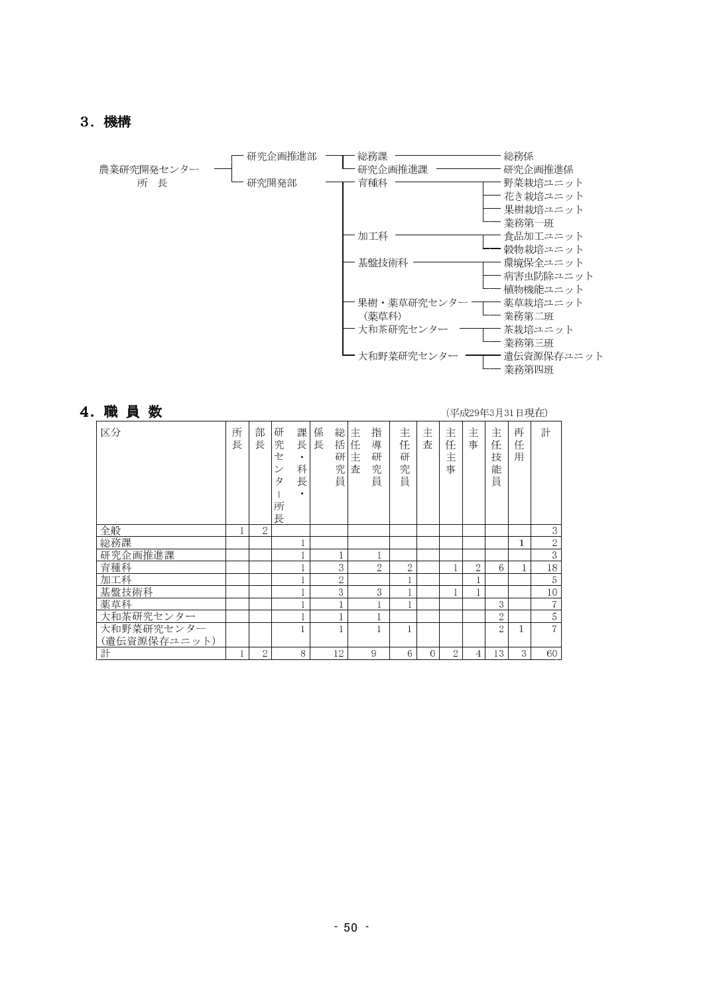## 3. 機構



| 職員数          |        |        |                                            |                                            |                                 |                  |                       |                       |          |                  |                |                       | (平成29年3月31日現在) |                |
|--------------|--------|--------|--------------------------------------------|--------------------------------------------|---------------------------------|------------------|-----------------------|-----------------------|----------|------------------|----------------|-----------------------|----------------|----------------|
| 区分           | 所<br>長 | 部<br>長 | 研<br>究<br>セ<br>$\checkmark$<br>タ<br>所<br>長 | 課<br>長<br>$\bullet$<br>科<br>長<br>$\bullet$ | 係<br>総<br>長<br>括<br>研<br>究<br>員 | 主<br>任<br>主<br>査 | 指<br>導<br>研<br>究<br>員 | 主<br>任<br>研<br>究<br>員 | 主<br>査   | 主<br>任<br>主<br>事 | 主<br>事         | 主<br>任<br>技<br>能<br>員 | 再<br>任<br>用    | 計              |
| 全般           |        | 2      |                                            |                                            |                                 |                  |                       |                       |          |                  |                |                       |                | 3              |
| 総務課          |        |        |                                            |                                            |                                 |                  |                       |                       |          |                  |                |                       | 1              | $\sqrt{2}$     |
| 研究企画推進課      |        |        |                                            |                                            |                                 |                  |                       |                       |          |                  |                |                       |                | $\,3$          |
| 育種科          |        |        |                                            |                                            | 3                               |                  | $\overline{2}$        | 2                     |          | 1                | $\overline{2}$ | 6                     | 1              | $18\,$         |
| 加工科          |        |        |                                            |                                            | $\overline{2}$                  |                  |                       |                       |          |                  |                |                       |                | 5              |
| 基盤技術科        |        |        |                                            |                                            | 3                               |                  | 3                     |                       |          |                  |                |                       |                | 10             |
| 薬草科          |        |        |                                            |                                            | и                               |                  | п                     |                       |          |                  |                | 3                     |                | 7              |
| 大和茶研究センター    |        |        |                                            |                                            |                                 |                  |                       |                       |          |                  |                | $\overline{2}$        |                | 5              |
| 大和野菜研究センター   |        |        |                                            |                                            |                                 |                  | 1                     |                       |          |                  |                | $\overline{2}$        | 1              | $\overline{7}$ |
| (遺伝資源保存ユニット) |        |        |                                            |                                            |                                 |                  |                       |                       |          |                  |                |                       |                |                |
| 計            | 1      | 2      |                                            | 8                                          | 12                              |                  | 9                     | 6                     | $\theta$ | 2                | 4              | 13                    | 3              | 60             |